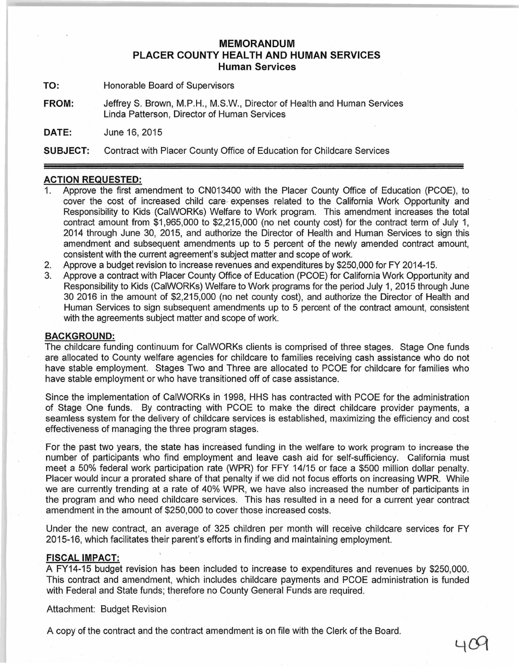## **MEMORANDUM PLACER COUNTY HEALTH AND HUMAN SERVICES Human Services**

**TO:** Honorable Board of Supervisors

**FROM:** Jeffrey S. Brown, M.P.H., M.S.W., Director of Health and Human Services Linda Patterson, Director of Human Services

**DATE:** June 16, 2015

**SUBJECT:** Contract with Placer County Office of Education for Childcare Services

## **ACTION REQUESTED:**

- 1. Approve the first amendment to CN013400 with the Placer County Office of Education (PCOE), to cover the cost of increased child care- expenses related to the California Work Opportunity and Responsibility to Kids (CaiWORKs) Welfare to Work program. This amendment increases the total contract amount from \$1,965,000 to \$2,215,000 (no net county cost) for the contract term of July 1, 2014 through June 30, 2015, and authorize the Director of Health and Human Services to sign this amendment and subsequent amendments up to 5 percent of the newly amended contract amount, consistent with the current agreement's subject matter and scope of work.
- 2. Approve a budget revision to increase revenues and expenditures by \$250,000 for FY 2014-15.
- 3. Approve a contract with Placer County Office of Education (PCOE) for California Work Opportunity and Responsibility to Kids (CaiWORKs) Welfare to Work 'programs for the period July 1, 2015 through June 30 2016 in the amount of \$2,215,000 (no net county cost), and authorize the Director of Health and Human Services to sign subsequent amendments up to 5 percent of the contract amount, consistent with the agreements subject matter and scope of work.

## **BACKGROUND:**

The childcare funding continuum for CaiWORKs clients is comprised of three stages. Stage One funds are allocated to County welfare agencies for childcare to families receiving cash assistance who do not have stable employment. Stages Two and Three are allocated to PCOE for childcare for families who have stable employment or who have transitioned off of case assistance.

Since the implementation of CaiWORKs in 1998, HHS has contracted with PCOE for the administration of Stage One funds. By contracting with PCOE to make the direct childcare provider payments, a seamless system for the delivery of childcare services is established, maximizing the efficiency and cost effectiveness of managing the three program stages.

For the past two years, the state has increased funding in the welfare to work program to increase the number of participants who find employment and leave cash aid for self-sufficiency. California must meet a 50% federal work participation rate (WPR) for FFY 14/15 or face a \$500 million dollar penalty. Placer would incur a prorated share of that penalty if we did not focus efforts on increasing WPR. While we are currently trending at a rate of 40% WPR, we have also increased the number of participants in the program and who need childcare services. This has resulted in a need for a current year contract amendment in the amount of \$250,000 to cover those increased costs.

Under the new contract, an average of 325 children per month will receive childcare services for FY 2015-16, which facilitates their parent's efforts in finding and maintaining employment.

## **FISCAL IMPACT:**

A FY14-15 budget revision has been included to increase to expenditures and revenues by \$250,000. This contract and amendment, which includes childcare payments and PCOE administration is funded with Federal and State funds; therefore no County General Funds are required.

40

Attachment: Budget Revision

A copy of the contract and the contract amendment is on file with the Clerk of the Board.